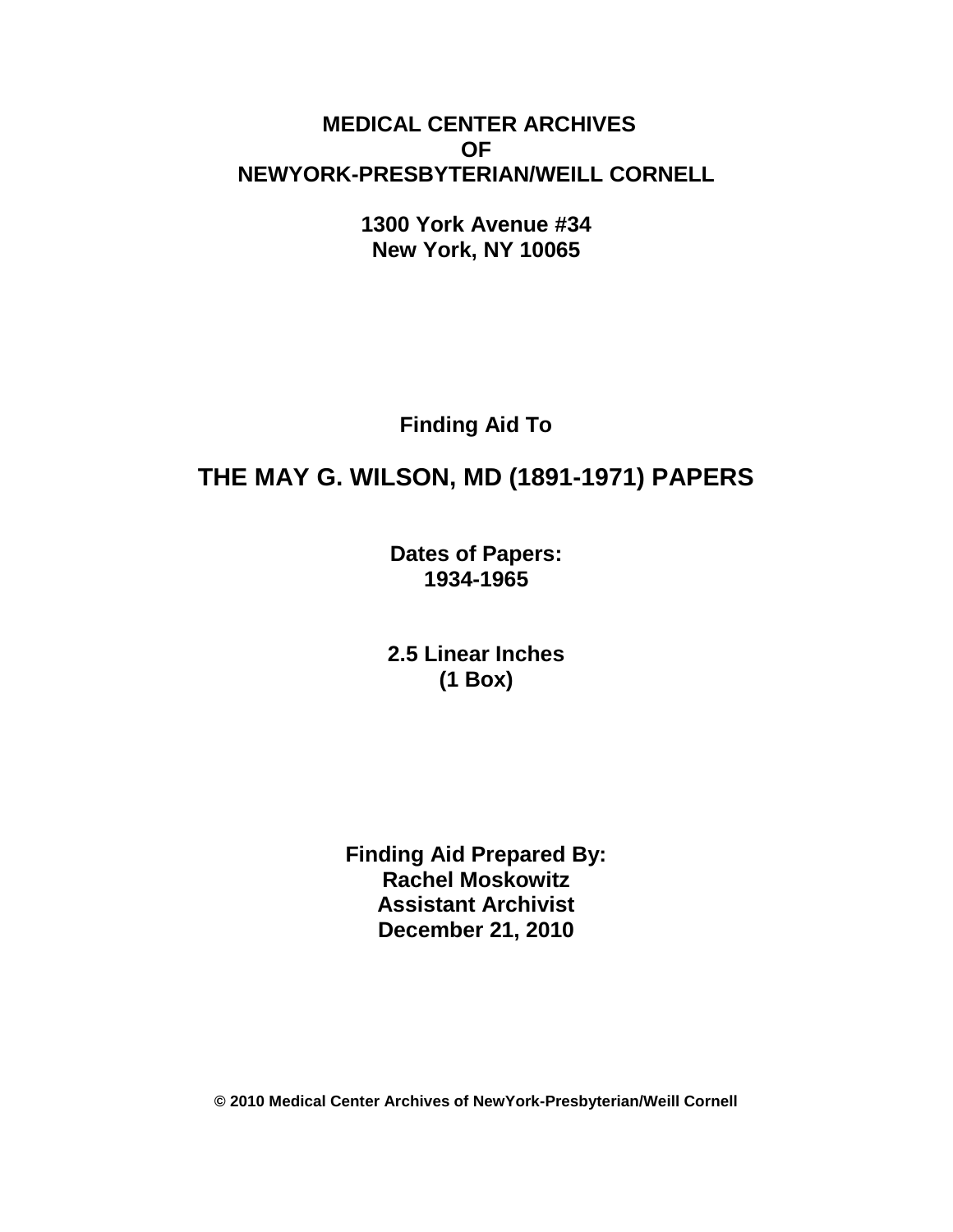# **MEDICAL CENTER ARCHIVES OF NEWYORK-PRESBYTERIAN/WEILL CORNELL**

**1300 York Avenue #34 New York, NY 10065**

**Finding Aid To**

# **THE MAY G. WILSON, MD (1891-1971) PAPERS**

**Dates of Papers: 1934-1965**

**2.5 Linear Inches (1 Box)**

**Finding Aid Prepared By: Rachel Moskowitz Assistant Archivist December 21, 2010**

**© 2010 Medical Center Archives of NewYork-Presbyterian/Weill Cornell**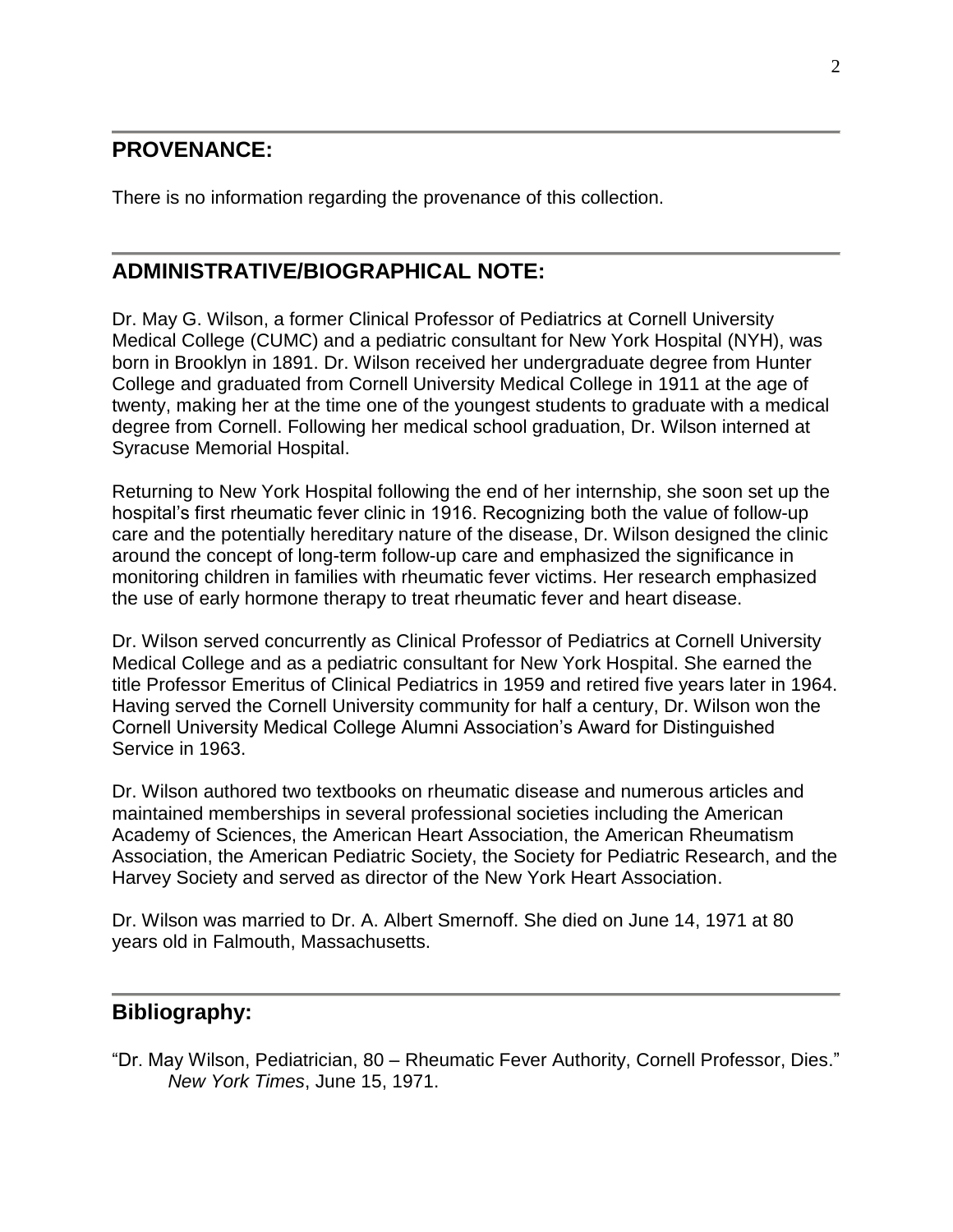### **PROVENANCE:**

There is no information regarding the provenance of this collection.

### **ADMINISTRATIVE/BIOGRAPHICAL NOTE:**

Dr. May G. Wilson, a former Clinical Professor of Pediatrics at Cornell University Medical College (CUMC) and a pediatric consultant for New York Hospital (NYH), was born in Brooklyn in 1891. Dr. Wilson received her undergraduate degree from Hunter College and graduated from Cornell University Medical College in 1911 at the age of twenty, making her at the time one of the youngest students to graduate with a medical degree from Cornell. Following her medical school graduation, Dr. Wilson interned at Syracuse Memorial Hospital.

Returning to New York Hospital following the end of her internship, she soon set up the hospital's first rheumatic fever clinic in 1916. Recognizing both the value of follow-up care and the potentially hereditary nature of the disease, Dr. Wilson designed the clinic around the concept of long-term follow-up care and emphasized the significance in monitoring children in families with rheumatic fever victims. Her research emphasized the use of early hormone therapy to treat rheumatic fever and heart disease.

Dr. Wilson served concurrently as Clinical Professor of Pediatrics at Cornell University Medical College and as a pediatric consultant for New York Hospital. She earned the title Professor Emeritus of Clinical Pediatrics in 1959 and retired five years later in 1964. Having served the Cornell University community for half a century, Dr. Wilson won the Cornell University Medical College Alumni Association's Award for Distinguished Service in 1963.

Dr. Wilson authored two textbooks on rheumatic disease and numerous articles and maintained memberships in several professional societies including the American Academy of Sciences, the American Heart Association, the American Rheumatism Association, the American Pediatric Society, the Society for Pediatric Research, and the Harvey Society and served as director of the New York Heart Association.

Dr. Wilson was married to Dr. A. Albert Smernoff. She died on June 14, 1971 at 80 years old in Falmouth, Massachusetts.

# **Bibliography:**

"Dr. May Wilson, Pediatrician, 80 – Rheumatic Fever Authority, Cornell Professor, Dies." *New York Times*, June 15, 1971.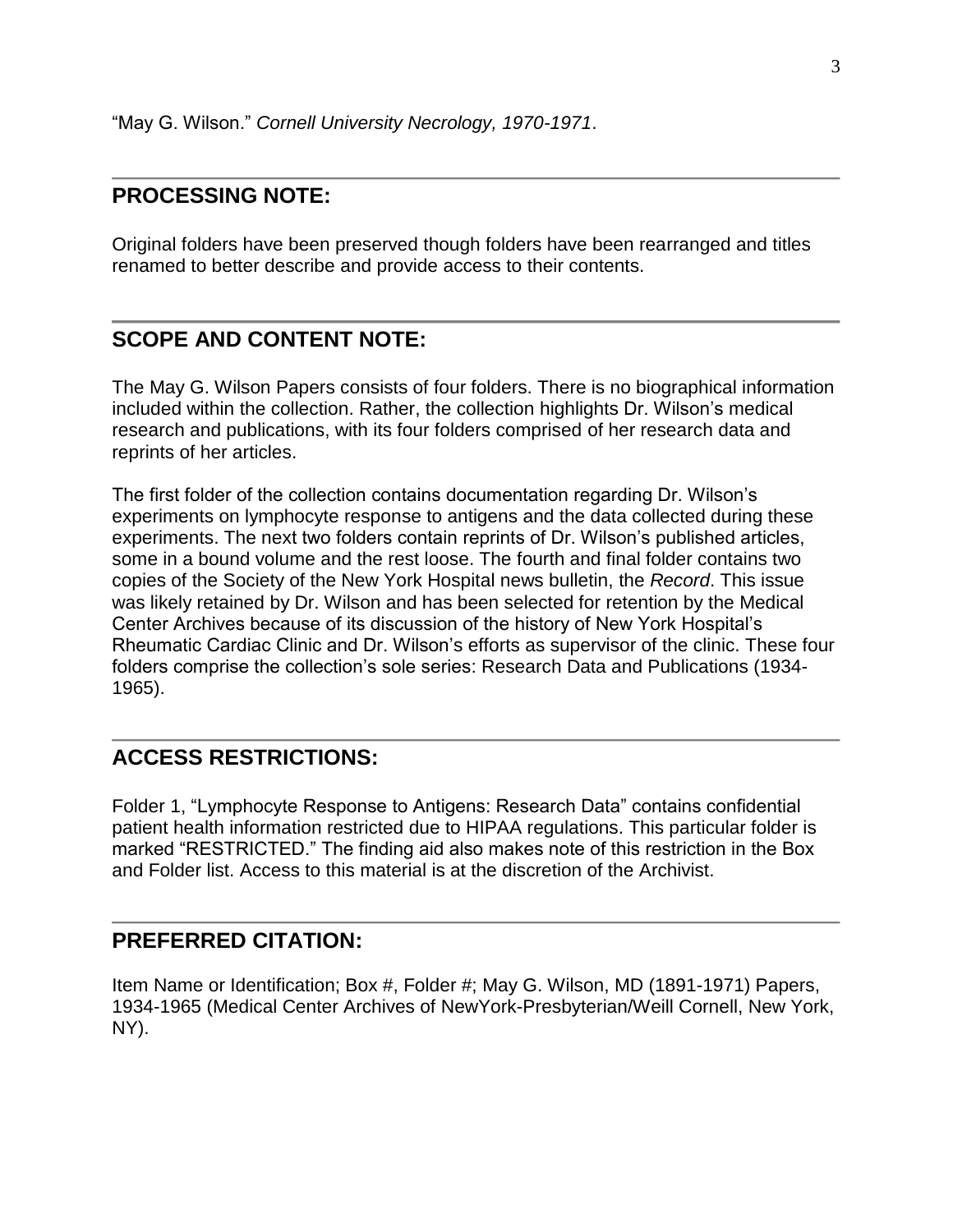#### **PROCESSING NOTE:**

Original folders have been preserved though folders have been rearranged and titles renamed to better describe and provide access to their contents.

#### **SCOPE AND CONTENT NOTE:**

The May G. Wilson Papers consists of four folders. There is no biographical information included within the collection. Rather, the collection highlights Dr. Wilson's medical research and publications, with its four folders comprised of her research data and reprints of her articles.

The first folder of the collection contains documentation regarding Dr. Wilson's experiments on lymphocyte response to antigens and the data collected during these experiments. The next two folders contain reprints of Dr. Wilson's published articles, some in a bound volume and the rest loose. The fourth and final folder contains two copies of the Society of the New York Hospital news bulletin, the *Record*. This issue was likely retained by Dr. Wilson and has been selected for retention by the Medical Center Archives because of its discussion of the history of New York Hospital's Rheumatic Cardiac Clinic and Dr. Wilson's efforts as supervisor of the clinic. These four folders comprise the collection's sole series: Research Data and Publications (1934- 1965).

#### **ACCESS RESTRICTIONS:**

Folder 1, "Lymphocyte Response to Antigens: Research Data" contains confidential patient health information restricted due to HIPAA regulations. This particular folder is marked "RESTRICTED." The finding aid also makes note of this restriction in the Box and Folder list. Access to this material is at the discretion of the Archivist.

#### **PREFERRED CITATION:**

Item Name or Identification; Box #, Folder #; May G. Wilson, MD (1891-1971) Papers, 1934-1965 (Medical Center Archives of NewYork-Presbyterian/Weill Cornell, New York, NY).